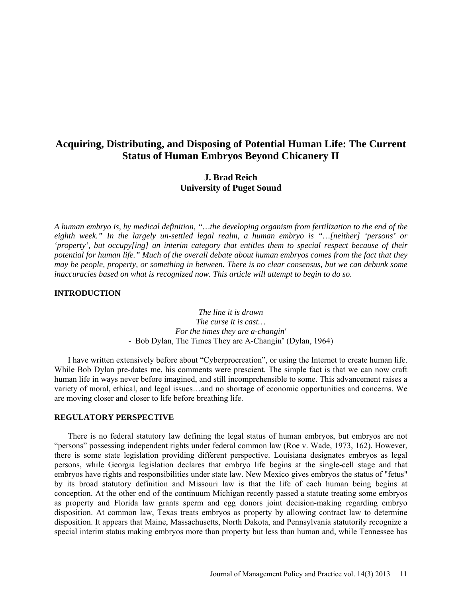# **Acquiring, Distributing, and Disposing of Potential Human Life: The Current Status of Human Embryos Beyond Chicanery II**

## **J. Brad Reich University of Puget Sound**

*A human embryo is, by medical definition, "…the developing organism from fertilization to the end of the eighth week." In the largely un-settled legal realm, a human embryo is "…[neither] 'persons' or 'property', but occupy[ing] an interim category that entitles them to special respect because of their potential for human life." Much of the overall debate about human embryos comes from the fact that they may be people, property, or something in between. There is no clear consensus, but we can debunk some inaccuracies based on what is recognized now. This article will attempt to begin to do so.*

#### **INTRODUCTION**

*The line it is drawn The curse it is cast… For the times they are a-changin'* - Bob Dylan, The Times They are A-Changin' (Dylan, 1964)

I have written extensively before about "Cyberprocreation", or using the Internet to create human life. While Bob Dylan pre-dates me, his comments were prescient. The simple fact is that we can now craft human life in ways never before imagined, and still incomprehensible to some. This advancement raises a variety of moral, ethical, and legal issues…and no shortage of economic opportunities and concerns. We are moving closer and closer to life before breathing life.

#### **REGULATORY PERSPECTIVE**

There is no federal statutory law defining the legal status of human embryos, but embryos are not "persons" possessing independent rights under federal common law (Roe v. Wade, 1973, 162). However, there is some state legislation providing different perspective. Louisiana designates embryos as legal persons, while Georgia legislation declares that embryo life begins at the single-cell stage and that embryos have rights and responsibilities under state law. New Mexico gives embryos the status of "fetus" by its broad statutory definition and Missouri law is that the life of each human being begins at conception. At the other end of the continuum Michigan recently passed a statute treating some embryos as property and Florida law grants sperm and egg donors joint decision-making regarding embryo disposition. At common law, Texas treats embryos as property by allowing contract law to determine disposition. It appears that Maine, Massachusetts, North Dakota, and Pennsylvania statutorily recognize a special interim status making embryos more than property but less than human and, while Tennessee has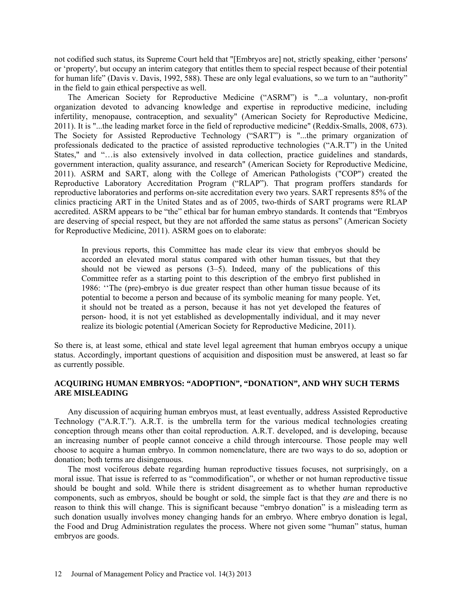not codified such status, its Supreme Court held that "[Embryos are] not, strictly speaking, either 'persons' or 'property', but occupy an interim category that entitles them to special respect because of their potential for human life" (Davis v. Davis, 1992, 588). These are only legal evaluations, so we turn to an "authority" in the field to gain ethical perspective as well.

The American Society for Reproductive Medicine ("ASRM") is "...a voluntary, non-profit organization devoted to advancing knowledge and expertise in reproductive medicine, including infertility, menopause, contraception, and sexuality" (American Society for Reproductive Medicine, 2011). It is "...the leading market force in the field of reproductive medicine" (Reddix-Smalls, 2008, 673). The Society for Assisted Reproductive Technology ("SART") is "...the primary organization of professionals dedicated to the practice of assisted reproductive technologies ("A.R.T") in the United States," and "…is also extensively involved in data collection, practice guidelines and standards, government interaction, quality assurance, and research" (American Society for Reproductive Medicine, 2011). ASRM and SART, along with the College of American Pathologists ("COP") created the Reproductive Laboratory Accreditation Program ("RLAP"). That program proffers standards for reproductive laboratories and performs on-site accreditation every two years. SART represents 85% of the clinics practicing ART in the United States and as of 2005, two-thirds of SART programs were RLAP accredited. ASRM appears to be "the" ethical bar for human embryo standards. It contends that "Embryos are deserving of special respect, but they are not afforded the same status as persons" (American Society for Reproductive Medicine, 2011). ASRM goes on to elaborate:

In previous reports, this Committee has made clear its view that embryos should be accorded an elevated moral status compared with other human tissues, but that they should not be viewed as persons (3–5). Indeed, many of the publications of this Committee refer as a starting point to this description of the embryo first published in 1986: ''The (pre)-embryo is due greater respect than other human tissue because of its potential to become a person and because of its symbolic meaning for many people. Yet, it should not be treated as a person, because it has not yet developed the features of person- hood, it is not yet established as developmentally individual, and it may never realize its biologic potential (American Society for Reproductive Medicine, 2011).

So there is, at least some, ethical and state level legal agreement that human embryos occupy a unique status. Accordingly, important questions of acquisition and disposition must be answered, at least so far as currently possible.

## **ACQUIRING HUMAN EMBRYOS: "ADOPTION", "DONATION", AND WHY SUCH TERMS ARE MISLEADING**

Any discussion of acquiring human embryos must, at least eventually, address Assisted Reproductive Technology ("A.R.T."). A.R.T. is the umbrella term for the various medical technologies creating conception through means other than coital reproduction. A.R.T. developed, and is developing, because an increasing number of people cannot conceive a child through intercourse. Those people may well choose to acquire a human embryo. In common nomenclature, there are two ways to do so, adoption or donation; both terms are disingenuous.

The most vociferous debate regarding human reproductive tissues focuses, not surprisingly, on a moral issue. That issue is referred to as "commodification", or whether or not human reproductive tissue should be bought and sold. While there is strident disagreement as to whether human reproductive components, such as embryos, should be bought or sold, the simple fact is that they *are* and there is no reason to think this will change. This is significant because "embryo donation" is a misleading term as such donation usually involves money changing hands for an embryo. Where embryo donation is legal, the Food and Drug Administration regulates the process. Where not given some "human" status, human embryos are goods.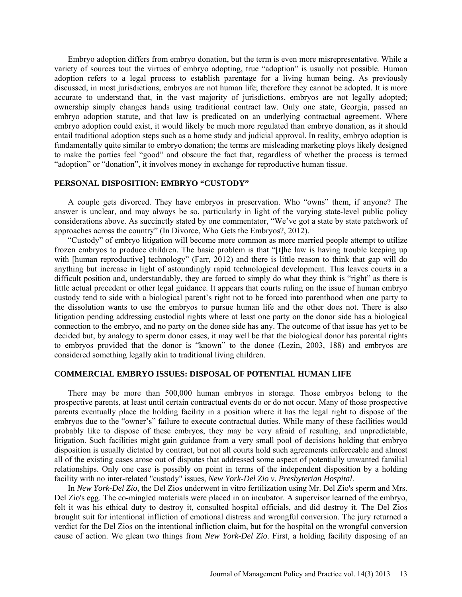Embryo adoption differs from embryo donation, but the term is even more misrepresentative. While a variety of sources tout the virtues of embryo adopting, true "adoption" is usually not possible. Human adoption refers to a legal process to establish parentage for a living human being. As previously discussed, in most jurisdictions, embryos are not human life; therefore they cannot be adopted. It is more accurate to understand that, in the vast majority of jurisdictions, embryos are not legally adopted; ownership simply changes hands using traditional contract law. Only one state, Georgia, passed an embryo adoption statute, and that law is predicated on an underlying contractual agreement. Where embryo adoption could exist, it would likely be much more regulated than embryo donation, as it should entail traditional adoption steps such as a home study and judicial approval. In reality, embryo adoption is fundamentally quite similar to embryo donation; the terms are misleading marketing ploys likely designed to make the parties feel "good" and obscure the fact that, regardless of whether the process is termed "adoption" or "donation", it involves money in exchange for reproductive human tissue.

#### **PERSONAL DISPOSITION: EMBRYO "CUSTODY"**

A couple gets divorced. They have embryos in preservation. Who "owns" them, if anyone? The answer is unclear, and may always be so, particularly in light of the varying state-level public policy considerations above. As succinctly stated by one commentator, "We've got a state by state patchwork of approaches across the country" (In Divorce, Who Gets the Embryos?, 2012).

"Custody" of embryo litigation will become more common as more married people attempt to utilize frozen embryos to produce children. The basic problem is that "[t]he law is having trouble keeping up with [human reproductive] technology" (Farr, 2012) and there is little reason to think that gap will do anything but increase in light of astoundingly rapid technological development. This leaves courts in a difficult position and, understandably, they are forced to simply do what they think is "right" as there is little actual precedent or other legal guidance. It appears that courts ruling on the issue of human embryo custody tend to side with a biological parent's right not to be forced into parenthood when one party to the dissolution wants to use the embryos to pursue human life and the other does not. There is also litigation pending addressing custodial rights where at least one party on the donor side has a biological connection to the embryo, and no party on the donee side has any. The outcome of that issue has yet to be decided but, by analogy to sperm donor cases, it may well be that the biological donor has parental rights to embryos provided that the donor is "known" to the donee (Lezin, 2003, 188) and embryos are considered something legally akin to traditional living children.

## **COMMERCIAL EMBRYO ISSUES: DISPOSAL OF POTENTIAL HUMAN LIFE**

There may be more than 500,000 human embryos in storage. Those embryos belong to the prospective parents, at least until certain contractual events do or do not occur. Many of those prospective parents eventually place the holding facility in a position where it has the legal right to dispose of the embryos due to the "owner's" failure to execute contractual duties. While many of these facilities would probably like to dispose of these embryos, they may be very afraid of resulting, and unpredictable, litigation. Such facilities might gain guidance from a very small pool of decisions holding that embryo disposition is usually dictated by contract, but not all courts hold such agreements enforceable and almost all of the existing cases arose out of disputes that addressed some aspect of potentially unwanted familial relationships. Only one case is possibly on point in terms of the independent disposition by a holding facility with no inter-related "custody" issues, *New York-Del Zio v. Presbyterian Hospital*.

In *New York-Del Zio*, the Del Zios underwent in vitro fertilization using Mr. Del Zio's sperm and Mrs. Del Zio's egg. The co-mingled materials were placed in an incubator. A supervisor learned of the embryo, felt it was his ethical duty to destroy it, consulted hospital officials, and did destroy it. The Del Zios brought suit for intentional infliction of emotional distress and wrongful conversion. The jury returned a verdict for the Del Zios on the intentional infliction claim, but for the hospital on the wrongful conversion cause of action. We glean two things from *New York-Del Zio*. First, a holding facility disposing of an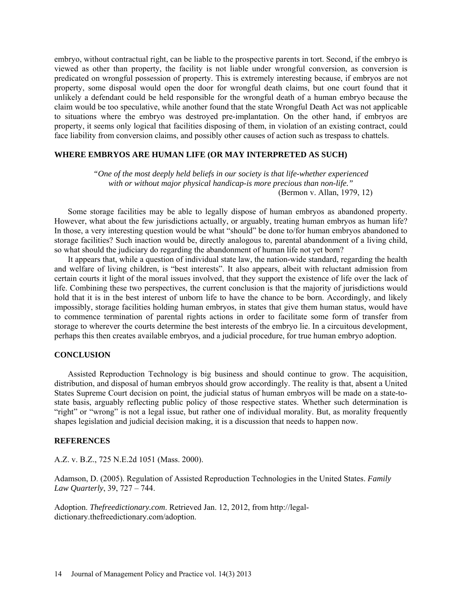embryo, without contractual right, can be liable to the prospective parents in tort. Second, if the embryo is viewed as other than property, the facility is not liable under wrongful conversion, as conversion is predicated on wrongful possession of property. This is extremely interesting because, if embryos are not property, some disposal would open the door for wrongful death claims, but one court found that it unlikely a defendant could be held responsible for the wrongful death of a human embryo because the claim would be too speculative, while another found that the state Wrongful Death Act was not applicable to situations where the embryo was destroyed pre-implantation. On the other hand, if embryos are property, it seems only logical that facilities disposing of them, in violation of an existing contract, could face liability from conversion claims, and possibly other causes of action such as trespass to chattels.

## **WHERE EMBRYOS ARE HUMAN LIFE (OR MAY INTERPRETED AS SUCH)**

*"One of the most deeply held beliefs in our society is that life-whether experienced with or without major physical handicap-is more precious than non-life."*  (Bermon v. Allan, 1979, 12)

Some storage facilities may be able to legally dispose of human embryos as abandoned property. However, what about the few jurisdictions actually, or arguably, treating human embryos as human life? In those, a very interesting question would be what "should" be done to/for human embryos abandoned to storage facilities? Such inaction would be, directly analogous to, parental abandonment of a living child, so what should the judiciary do regarding the abandonment of human life not yet born?

It appears that, while a question of individual state law, the nation-wide standard, regarding the health and welfare of living children, is "best interests". It also appears, albeit with reluctant admission from certain courts it light of the moral issues involved, that they support the existence of life over the lack of life. Combining these two perspectives, the current conclusion is that the majority of jurisdictions would hold that it is in the best interest of unborn life to have the chance to be born. Accordingly, and likely impossibly, storage facilities holding human embryos, in states that give them human status, would have to commence termination of parental rights actions in order to facilitate some form of transfer from storage to wherever the courts determine the best interests of the embryo lie. In a circuitous development, perhaps this then creates available embryos, and a judicial procedure, for true human embryo adoption.

#### **CONCLUSION**

Assisted Reproduction Technology is big business and should continue to grow. The acquisition, distribution, and disposal of human embryos should grow accordingly. The reality is that, absent a United States Supreme Court decision on point, the judicial status of human embryos will be made on a state-tostate basis, arguably reflecting public policy of those respective states. Whether such determination is "right" or "wrong" is not a legal issue, but rather one of individual morality. But, as morality frequently shapes legislation and judicial decision making, it is a discussion that needs to happen now.

## **REFERENCES**

A.Z. v. B.Z., 725 N.E.2d 1051 (Mass. 2000).

Adamson, D. (2005). Regulation of Assisted Reproduction Technologies in the United States. *Family Law Quarterly*, 39, 727 – 744.

Adoption. *Thefreedictionary.com*. Retrieved Jan. 12, 2012, from [http://legal](http://legal-dictionary.thefreedictionary.com/adoption)[dictionary.thefreedictionary.com/adoption.](http://legal-dictionary.thefreedictionary.com/adoption)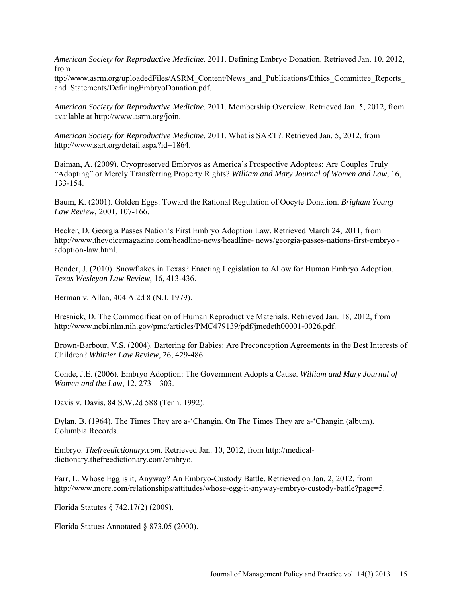*American Society for Reproductive Medicine*. 2011. Defining Embryo Donation. Retrieved Jan. 10. 2012, from

ttp://www.asrm.org/uploadedFiles/ASRM\_Content/News\_and\_Publications/Ethics\_Committee\_Reports\_ and Statements/DefiningEmbryoDonation.pdf.

*American Society for Reproductive Medicine*. 2011. Membership Overview. Retrieved Jan. 5, 2012, from available at [http://www.asrm.org/join.](http://www.asrm.org/join)

*American Society for Reproductive Medicine*. 2011. What is SART?. Retrieved Jan. 5, 2012, from [http://www.sart.org/detail.aspx?id=1864.](http://www.sart.org/detail.aspx?id=1864)

Baiman, A. (2009). Cryopreserved Embryos as America's Prospective Adoptees: Are Couples Truly "Adopting" or Merely Transferring Property Rights? *William and Mary Journal of Women and Law*, 16, 133-154.

Baum, K. (2001). Golden Eggs: Toward the Rational Regulation of Oocyte Donation. *Brigham Young Law Review*, 2001, 107-166.

Becker, D. Georgia Passes Nation's First Embryo Adoption Law. Retrieved March 24, 2011, from <http://www.thevoicemagazine.com/headline-news/headline-> news/georgia-passes-nations-first-embryo adoption-law.html.

Bender, J. (2010). Snowflakes in Texas? Enacting Legislation to Allow for Human Embryo Adoption. *Texas Wesleyan Law Review*, 16, 413-436.

Berman v. Allan, 404 A.2d 8 (N.J. 1979).

Bresnick, D. The Commodification of Human Reproductive Materials. Retrieved Jan. 18, 2012, from [http://www.ncbi.nlm.nih.gov/pmc/articles/PMC479139/pdf/jmedeth00001-0026.pdf.](http://www.ncbi.nlm.nih.gov/pmc/articles/PMC479139/pdf/jmedeth00001-0026.pdf)

Brown-Barbour, V.S. (2004). Bartering for Babies: Are Preconception Agreements in the Best Interests of Children? *Whittier Law Review*, 26, 429-486.

Conde, J.E. (2006). Embryo Adoption: The Government Adopts a Cause. *William and Mary Journal of Women and the Law*, 12, 273 – 303.

Davis v. Davis, 84 S.W.2d 588 (Tenn. 1992).

Dylan, B. (1964). The Times They are a-'Changin. On The Times They are a-'Changin (album). Columbia Records.

Embryo. *Thefreedictionary.com*. Retrieved Jan. 10, 2012, from [http://medical](http://medical-dictionary.thefreedictionary.com/embryo)[dictionary.thefreedictionary.com/embryo.](http://medical-dictionary.thefreedictionary.com/embryo)

Farr, L. Whose Egg is it, Anyway? An Embryo-Custody Battle. Retrieved on Jan. 2, 2012, from http://www.more.com/relationships/attitudes/whose-egg-it-anyway-embryo-custody-battle?page=5.

Florida Statutes § 742.17(2) (2009).

Florida Statues Annotated § 873.05 (2000).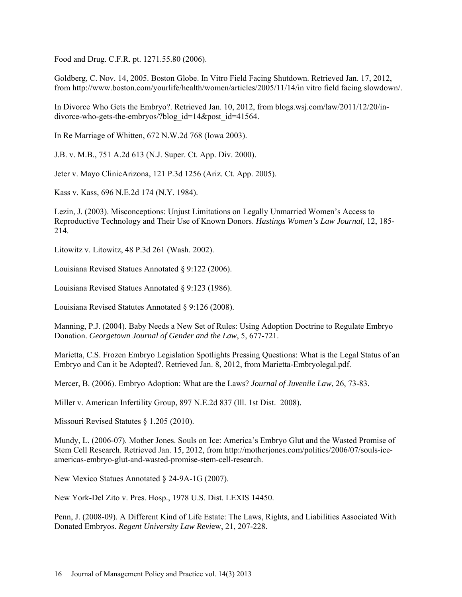Food and Drug. C.F.R. pt. 1271.55.80 (2006).

Goldberg, C. Nov. 14, 2005. Boston Globe. In Vitro Field Facing Shutdown. Retrieved Jan. 17, 2012, from [http://www.boston.com/yourlife/health/women/articles/2005/11/14/in vitro field facing slowdown/.](http://www.boston.com/yourlife/health/women/articles/2005/11/14/in%20vitro%20field%20facing%20slowdown/)

In Divorce Who Gets the Embryo?. Retrieved Jan. 10, 2012, from blogs.wsj.com/law/2011/12/20/indivorce-who-gets-the-embryos/?blog\_id=14&post\_id=41564.

In Re Marriage of Whitten, 672 N.W.2d 768 (Iowa 2003).

J.B. v. M.B., 751 A.2d 613 (N.J. Super. Ct. App. Div. 2000).

Jeter v. Mayo ClinicArizona, 121 P.3d 1256 (Ariz. Ct. App. 2005).

Kass v. Kass, 696 N.E.2d 174 (N.Y. 1984).

Lezin, J. (2003). Misconceptions: Unjust Limitations on Legally Unmarried Women's Access to Reproductive Technology and Their Use of Known Donors. *Hastings Women's Law Journal*, 12, 185- 214.

Litowitz v. Litowitz, 48 P.3d 261 (Wash. 2002).

Louisiana Revised Statues Annotated § 9:122 (2006).

Louisiana Revised Statues Annotated § 9:123 (1986).

Louisiana Revised Statutes Annotated § 9:126 (2008).

Manning, P.J. (2004). Baby Needs a New Set of Rules: Using Adoption Doctrine to Regulate Embryo Donation. *Georgetown Journal of Gender and the Law*, 5, 677-721.

Marietta, C.S. Frozen Embryo Legislation Spotlights Pressing Questions: What is the Legal Status of an Embryo and Can it be Adopted?. Retrieved Jan. 8, 2012, from Marietta-Embryolegal.pdf.

Mercer, B. (2006). Embryo Adoption: What are the Laws? *Journal of Juvenile Law*, 26, 73-83.

Miller v. American Infertility Group, 897 N.E.2d 837 (Ill. 1st Dist. 2008).

Missouri Revised Statutes § 1.205 (2010).

Mundy, L. (2006-07). Mother Jones. Souls on Ice: America's Embryo Glut and the Wasted Promise of Stem Cell Research. Retrieved Jan. 15, 2012, from [http://motherjones.com/politics/2006/07/souls-ice](http://motherjones.com/politics/2006/07/souls-ice-a)[am](http://motherjones.com/politics/2006/07/souls-ice-a)ericas-embryo-glut-and-wasted-promise-stem-cell-research.

New Mexico Statues Annotated § 24-9A-1G (2007).

New York-Del Zito v. Pres. Hosp., 1978 U.S. Dist. LEXIS 14450.

Penn, J. (2008-09). A Different Kind of Life Estate: The Laws, Rights, and Liabilities Associated With Donated Embryos. *Regent University Law Revi*ew, 21, 207-228.